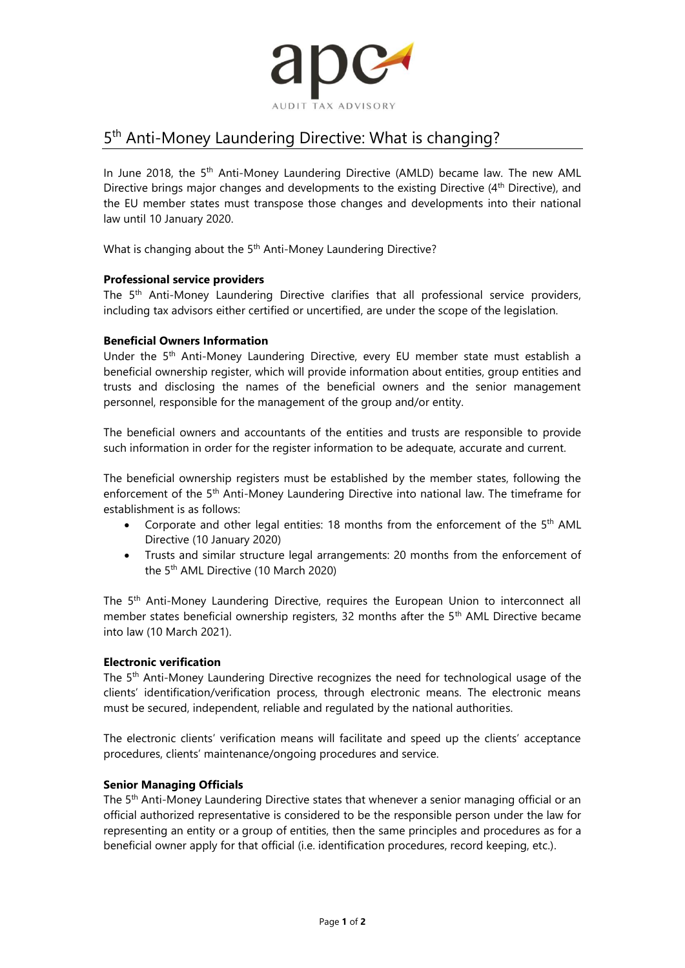

# 5<sup>th</sup> Anti-Money Laundering Directive: What is changing?

In June 2018, the 5<sup>th</sup> Anti-Money Laundering Directive (AMLD) became law. The new AML Directive brings major changes and developments to the existing Directive (4<sup>th</sup> Directive), and the EU member states must transpose those changes and developments into their national law until 10 January 2020.

What is changing about the 5<sup>th</sup> Anti-Money Laundering Directive?

## **Professional service providers**

The 5<sup>th</sup> Anti-Money Laundering Directive clarifies that all professional service providers, including tax advisors either certified or uncertified, are under the scope of the legislation.

## **Beneficial Owners Information**

Under the 5<sup>th</sup> Anti-Money Laundering Directive, every EU member state must establish a beneficial ownership register, which will provide information about entities, group entities and trusts and disclosing the names of the beneficial owners and the senior management personnel, responsible for the management of the group and/or entity.

The beneficial owners and accountants of the entities and trusts are responsible to provide such information in order for the register information to be adequate, accurate and current.

The beneficial ownership registers must be established by the member states, following the enforcement of the 5th Anti-Money Laundering Directive into national law. The timeframe for establishment is as follows:

- Corporate and other legal entities: 18 months from the enforcement of the 5<sup>th</sup> AML Directive (10 January 2020)
- Trusts and similar structure legal arrangements: 20 months from the enforcement of the 5th AML Directive (10 March 2020)

The 5th Anti-Money Laundering Directive, requires the European Union to interconnect all member states beneficial ownership registers, 32 months after the 5<sup>th</sup> AML Directive became into law (10 March 2021).

## **Electronic verification**

The 5th Anti-Money Laundering Directive recognizes the need for technological usage of the clients' identification/verification process, through electronic means. The electronic means must be secured, independent, reliable and regulated by the national authorities.

The electronic clients' verification means will facilitate and speed up the clients' acceptance procedures, clients' maintenance/ongoing procedures and service.

# **Senior Managing Officials**

The 5<sup>th</sup> Anti-Money Laundering Directive states that whenever a senior managing official or an official authorized representative is considered to be the responsible person under the law for representing an entity or a group of entities, then the same principles and procedures as for a beneficial owner apply for that official (i.e. identification procedures, record keeping, etc.).